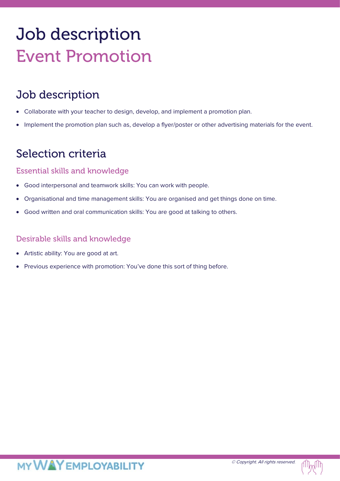# Job description Event Promotion

## Job description

- Collaborate with your teacher to design, develop, and implement a promotion plan.
- Implement the promotion plan such as, develop a flyer/poster or other advertising materials for the event.

### Selection criteria

#### Essential skills and knowledge

- Good interpersonal and teamwork skills: You can work with people.
- Organisational and time management skills: You are organised and get things done on time.
- Good written and oral communication skills: You are good at talking to others.

#### Desirable skills and knowledge

- Artistic ability: You are good at art.
- Previous experience with promotion: You've done this sort of thing before.

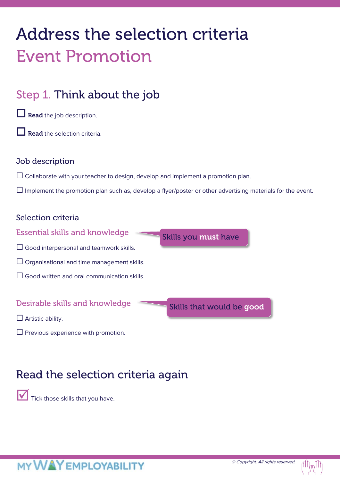# Address the selection criteria Event Promotion

## Step 1. Think about the job

 $\Box$  Read the job description.

Read the selection criteria.

#### Job description

 $\Box$  Collaborate with your teacher to design, develop and implement a promotion plan.

 $\Box$  Implement the promotion plan such as, develop a flyer/poster or other advertising materials for the event.

#### Selection criteria



 $\square$  Previous experience with promotion.

## Read the selection criteria again

Tick those skills that you have.

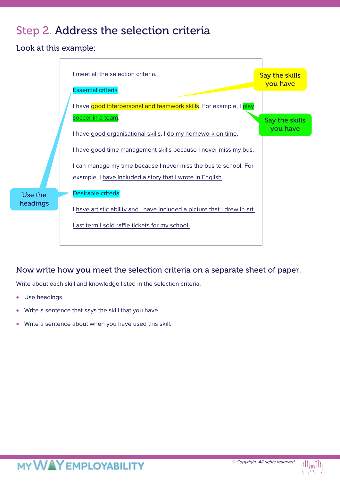## Step 2. Address the selection criteria

Look at this example:



#### Now write how you meet the selection criteria on a separate sheet of paper.

Write about each skill and knowledge listed in the selection criteria.

- Use headings.
- Write a sentence that says the skill that you have.
- Write a sentence about when you have used this skill.

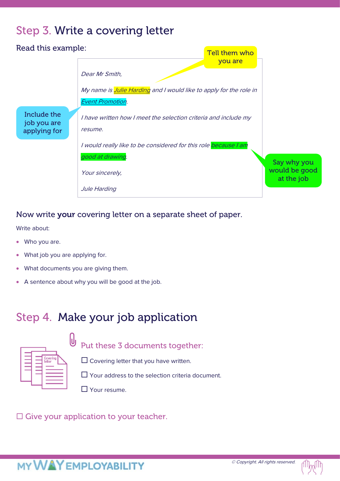## Step 3. Write a covering letter



#### Now write your covering letter on a separate sheet of paper.

Write about:

- Who you are.
- What job you are applying for.
- What documents you are giving them.
- A sentence about why you will be good at the job.

## Step 4. Make your job application

| Covering<br>letter |  |
|--------------------|--|
|                    |  |

U Put these 3 documents together:

 $\Box$  Covering letter that you have written.

□ Your address to the selection criteria document.

■ Your resume.

 $\square$  Give your application to your teacher.